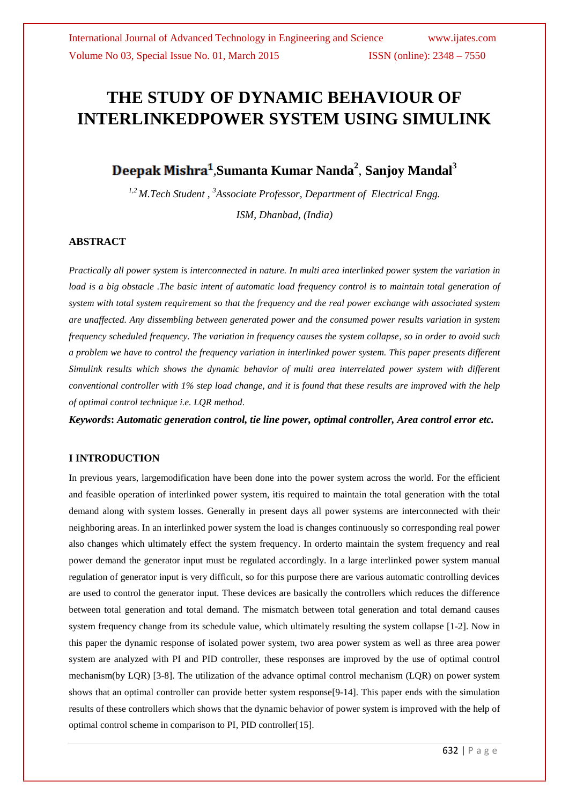# **THE STUDY OF DYNAMIC BEHAVIOUR OF INTERLINKEDPOWER SYSTEM USING SIMULINK**

# *,***Sumanta Kumar Nanda<sup>2</sup>** *,* **Sanjoy Mandal<sup>3</sup>**

*1,2 M.Tech Student , <sup>3</sup>Associate Professor, Department of Electrical Engg. ISM, Dhanbad, (India)*

# **ABSTRACT**

*Practically all power system is interconnected in nature. In multi area interlinked power system the variation in load is a big obstacle .The basic intent of automatic load frequency control is to maintain total generation of system with total system requirement so that the frequency and the real power exchange with associated system are unaffected. Any dissembling between generated power and the consumed power results variation in system frequency scheduled frequency. The variation in frequency causes the system collapse, so in order to avoid such a problem we have to control the frequency variation in interlinked power system. This paper presents different Simulink results which shows the dynamic behavior of multi area interrelated power system with different conventional controller with 1% step load change, and it is found that these results are improved with the help of optimal control technique i.e. LQR method.*

*Keywords***:** *Automatic generation control, tie line power, optimal controller, Area control error etc.*

# **I INTRODUCTION**

In previous years, largemodification have been done into the power system across the world. For the efficient and feasible operation of interlinked power system, itis required to maintain the total generation with the total demand along with system losses. Generally in present days all power systems are interconnected with their neighboring areas. In an interlinked power system the load is changes continuously so corresponding real power also changes which ultimately effect the system frequency. In orderto maintain the system frequency and real power demand the generator input must be regulated accordingly. In a large interlinked power system manual regulation of generator input is very difficult, so for this purpose there are various automatic controlling devices are used to control the generator input. These devices are basically the controllers which reduces the difference between total generation and total demand. The mismatch between total generation and total demand causes system frequency change from its schedule value, which ultimately resulting the system collapse [1-2]. Now in this paper the dynamic response of isolated power system, two area power system as well as three area power system are analyzed with PI and PID controller, these responses are improved by the use of optimal control mechanism(by LQR) [3-8]. The utilization of the advance optimal control mechanism (LQR) on power system shows that an optimal controller can provide better system response[9-14]. This paper ends with the simulation results of these controllers which shows that the dynamic behavior of power system is improved with the help of optimal control scheme in comparison to PI, PID controller[15].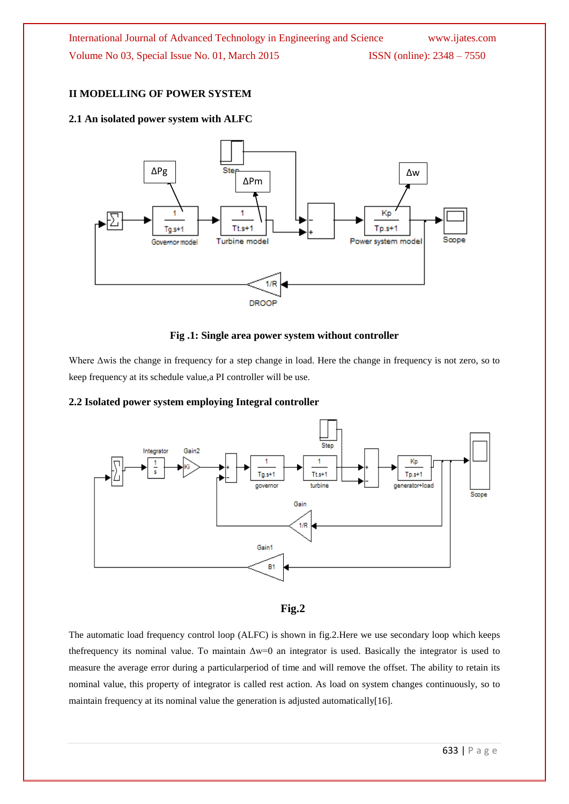# **II MODELLING OF POWER SYSTEM**

# **2.1 An isolated power system with ALFC**



#### **Fig .1: Single area power system without controller**

Where Δwis the change in frequency for a step change in load. Here the change in frequency is not zero, so to keep frequency at its schedule value,a PI controller will be use.

# **2.2 Isolated power system employing Integral controller**



# **Fig.2**

The automatic load frequency control loop (ALFC) is shown in fig.2.Here we use secondary loop which keeps the frequency its nominal value. To maintain  $\Delta w=0$  an integrator is used. Basically the integrator is used to measure the average error during a particularperiod of time and will remove the offset. The ability to retain its nominal value, this property of integrator is called rest action. As load on system changes continuously, so to maintain frequency at its nominal value the generation is adjusted automatically[16].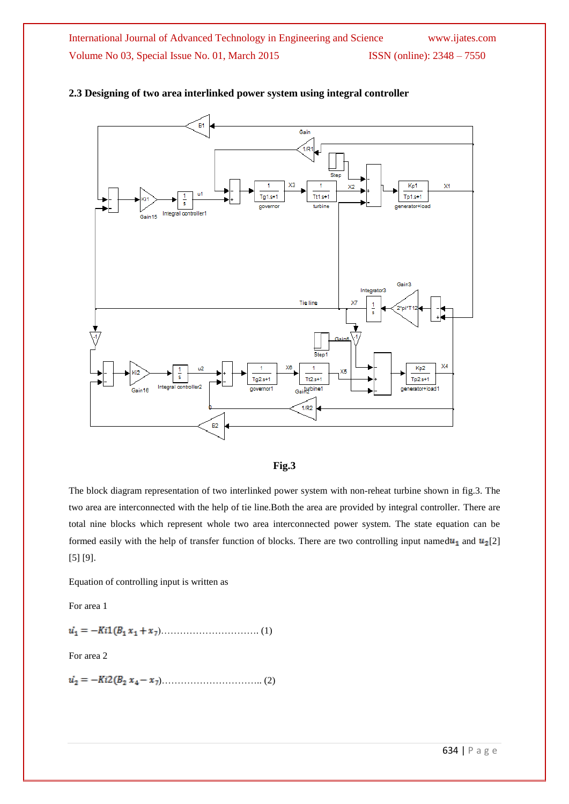

# **2.3 Designing of two area interlinked power system using integral controller**



The block diagram representation of two interlinked power system with non-reheat turbine shown in fig.3. The two area are interconnected with the help of tie line.Both the area are provided by integral controller. There are total nine blocks which represent whole two area interconnected power system. The state equation can be formed easily with the help of transfer function of blocks. There are two controlling input named  $u_1$  and  $u_2$ [2] [5] [9].

Equation of controlling input is written as

For area 1

)…………………………. (1)

For area 2

)………………………….. (2)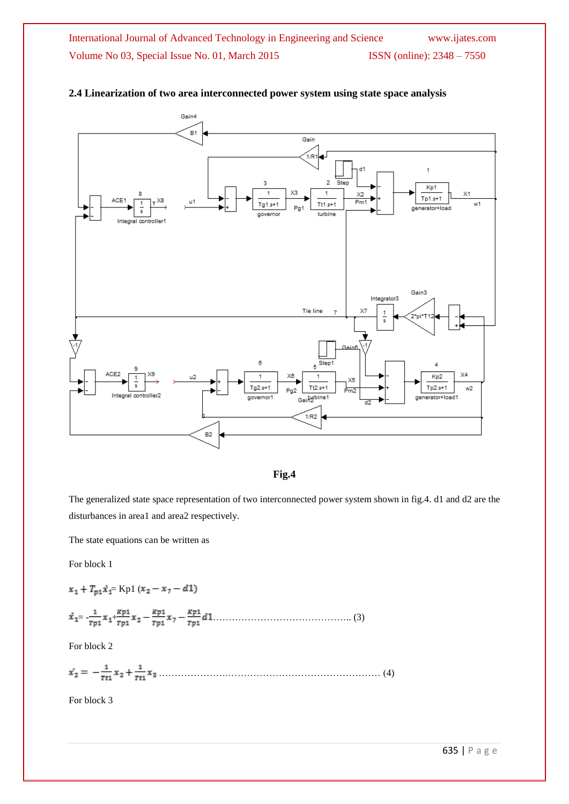

# **2.4 Linearization of two area interconnected power system using state space analysis**



The generalized state space representation of two interconnected power system shown in fig.4. d1 and d2 are the disturbances in area1 and area2 respectively.

The state equations can be written as

For block 1

 $x_1+T_{p1}\dot{x}_1=$  Kp1  $(x_2-x_7-d1)$ 

= - + …………………………………….. (3)

For block 2

………………….………………………………………… (4)

For block 3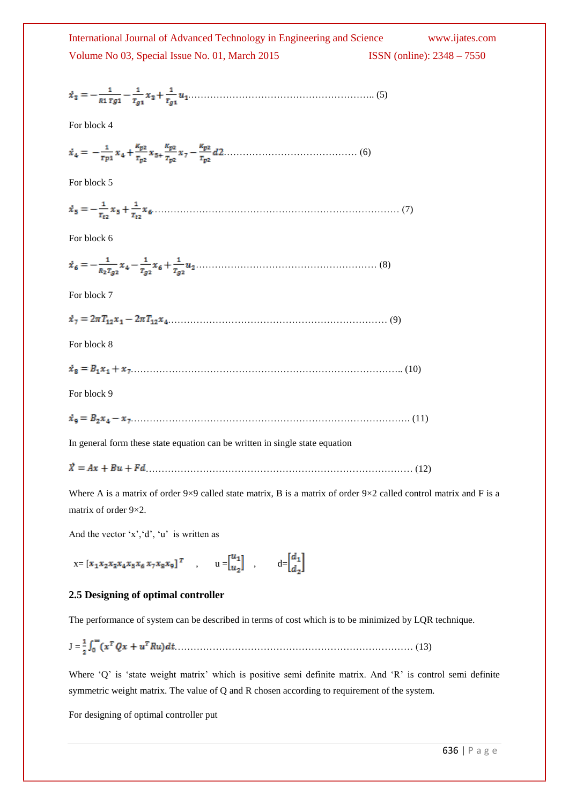| International Journal of Advanced Technology in Engineering and Science | www.ijates.com                      |
|-------------------------------------------------------------------------|-------------------------------------|
| Volume No 03, Special Issue No. 01, March 2015                          | <b>ISSN</b> (online): $2348 - 7550$ |

$$
\dot{x}_3 = -\frac{1}{R1 \; \tau g 1} - \frac{1}{\tau_{g 1}} \, x_3 + \frac{1}{\tau_{g 1}} \, u_1 \dots \dots \dots \dots \dots \dots \dots \dots \dots \dots \dots \dots \dots \dots \dots \dots \tag{5}
$$

For block 4

$$
\dot{x}_4 = -\frac{1}{rp_1}x_4 + \frac{R_{p2}}{r_{p2}}x_5 + \frac{R_{p2}}{r_{p2}}x_7 - \frac{R_{p2}}{r_{p2}}d2 \dots \dots \dots \dots \dots \dots \dots \dots \dots \dots \tag{6}
$$

For block 5

…………………………………………………………………… (7)

For block 6

$$
\dot{x}_6 = -\frac{1}{R_2 \tau_{g2}} x_4 - \frac{1}{\tau_{g2}} x_6 + \frac{1}{\tau_{g2}} u_2 \dots \dots \dots \dots \dots \dots \dots \dots \dots \dots \dots \dots \dots \tag{8}
$$

For block 7

|--|--|--|--|

For block 8

 $\dot{x}_8 = B_1 x_1 + x_7 \dots (10)$ 

For block 9

……………………………………………………………………………. (11)

In general form these state equation can be written in single state equation

………………………………………………………………………… (12)

Where A is a matrix of order 9×9 called state matrix, B is a matrix of order 9×2 called control matrix and F is a matrix of order 9×2.

And the vector  $x', d', u'$  is written as

$$
x = [x_1x_2x_3x_4x_5x_6x_7x_8x_9]^T
$$
,  $u = \begin{bmatrix} u_1 \\ u_2 \end{bmatrix}$ ,  $d = \begin{bmatrix} d_1 \\ d_2 \end{bmatrix}$ 

#### **2.5 Designing of optimal controller**

The performance of system can be described in terms of cost which is to be minimized by LQR technique.

J = ………………………………………………………………… (13)

Where 'Q' is 'state weight matrix' which is positive semi definite matrix. And 'R' is control semi definite symmetric weight matrix. The value of Q and R chosen according to requirement of the system.

For designing of optimal controller put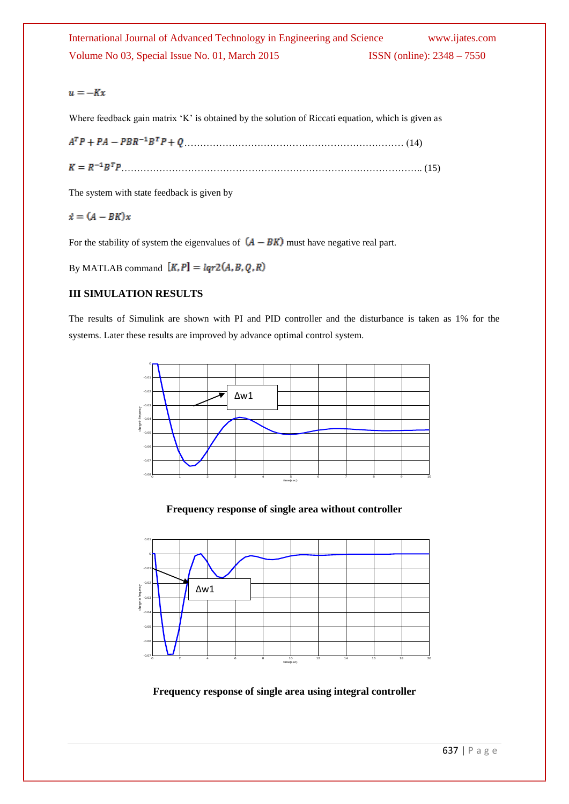# International Journal of Advanced Technology in Engineering and Science www.ijates.com Volume No 03, Special Issue No. 01, March 2015 ISSN (online): 2348 – 7550

# $u = -Kx$

Where feedback gain matrix 'K' is obtained by the solution of Riccati equation, which is given as

 $A^T P + P A - P B R^{-1} B^T P + Q$  (14)

………………………………………………………………………………….. (15)

The system with state feedback is given by

# $\dot{x} = (A - BK)x$

For the stability of system the eigenvalues of  $(A - BK)$  must have negative real part.

By MATLAB command  $[K, P] = lqr2(A, B, Q, R)$ 

# **III SIMULATION RESULTS**

The results of Simulink are shown with PI and PID controller and the disturbance is taken as 1% for the systems. Later these results are improved by advance optimal control system.



# **Frequency response of single area without controller**



**Frequency response of single area using integral controller**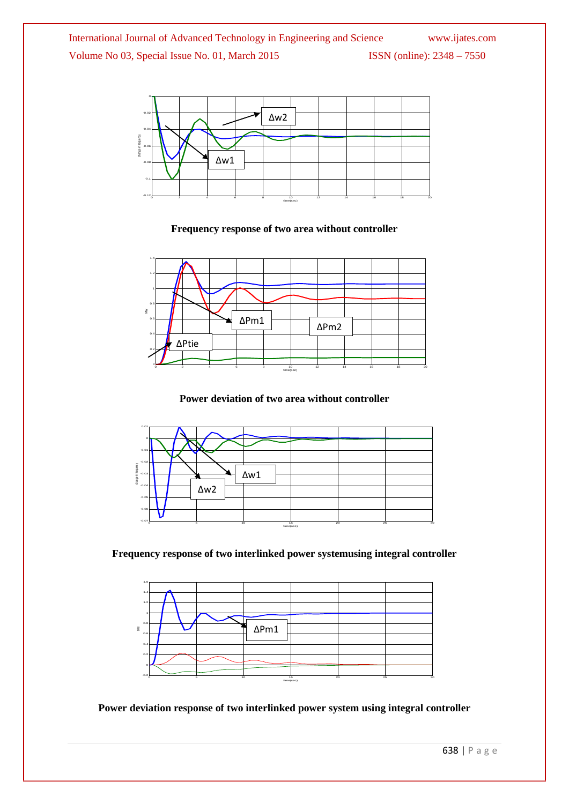

**Frequency response of two area without controller**



**Power deviation of two area without controller**



**Frequency response of two interlinked power systemusing integral controller**



**Power deviation response of two interlinked power system using integral controller**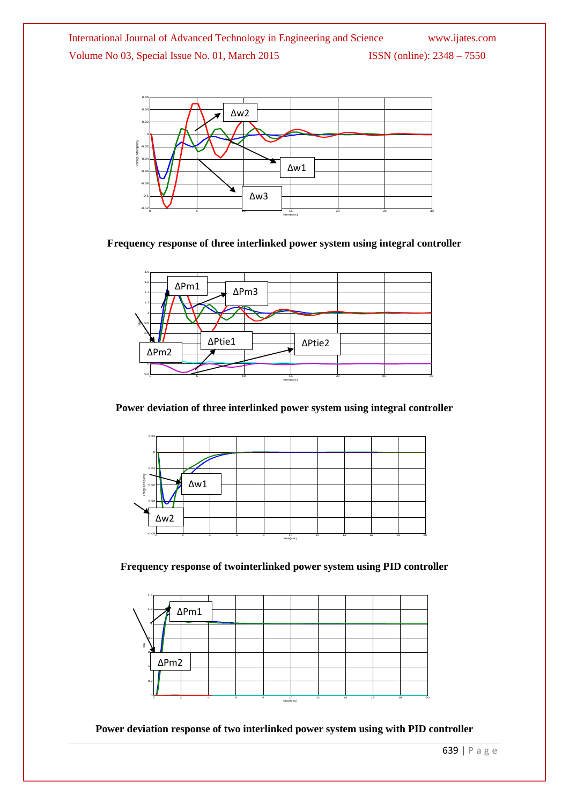International Journal of Advanced Technology in Engineering and Science www.ijates.com Volume No 03, Special Issue No. 01, March 2015 ISSN (online): 2348 - 7550



# **Frequency response of three interlinked power system using integral controller**



**Power deviation of three interlinked power system using integral controller**



**Frequency response of twointerlinked power system using PID controller**



**Power deviation response of two interlinked power system using with PID controller**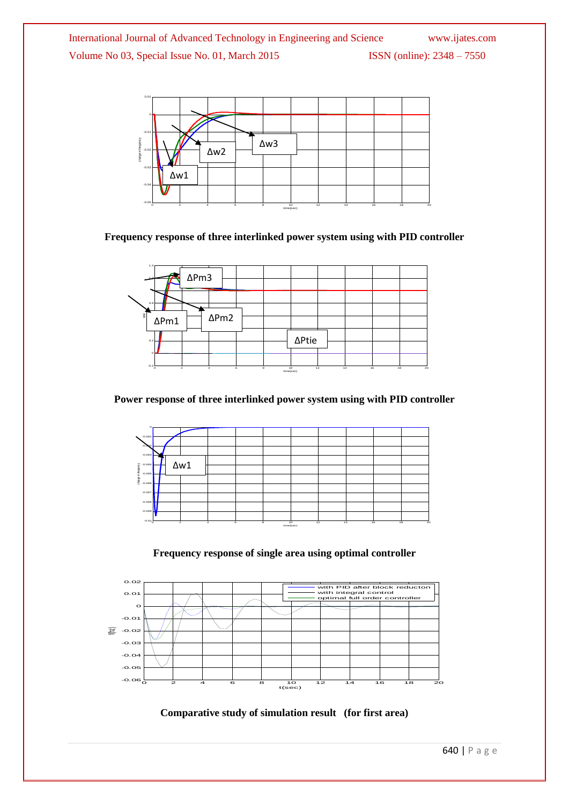International Journal of Advanced Technology in Engineering and Science www.ijates.com Volume No 03, Special Issue No. 01, March 2015 ISSN (online): 2348 - 7550



# **Frequency response of three interlinked power system using with PID controller**



**Power response of three interlinked power system using with PID controller**



### **Frequency response of single area using optimal controller**



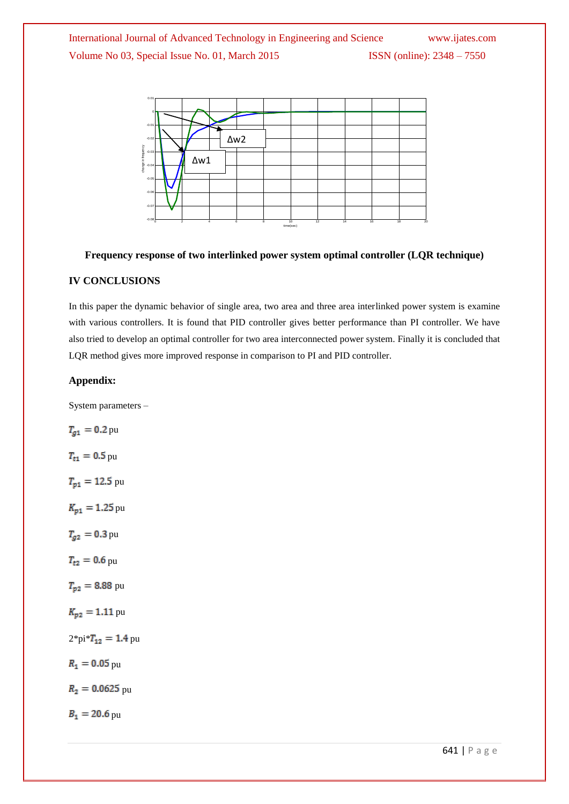

### **Frequency response of two interlinked power system optimal controller (LQR technique)**

# **IV CONCLUSIONS**

In this paper the dynamic behavior of single area, two area and three area interlinked power system is examine with various controllers. It is found that PID controller gives better performance than PI controller. We have also tried to develop an optimal controller for two area interconnected power system. Finally it is concluded that LQR method gives more improved response in comparison to PI and PID controller.

#### **Appendix:**

System parameters –

$$
T_{g1} = 0.2 \text{ pu}
$$
  
\n
$$
T_{r1} = 0.5 \text{ pu}
$$
  
\n
$$
T_{p1} = 12.5 \text{ pu}
$$
  
\n
$$
K_{p1} = 1.25 \text{ pu}
$$
  
\n
$$
T_{g2} = 0.3 \text{ pu}
$$
  
\n
$$
T_{r2} = 0.6 \text{ pu}
$$
  
\n
$$
T_{p2} = 8.88 \text{ pu}
$$
  
\n
$$
K_{p2} = 1.11 \text{ pu}
$$
  
\n
$$
2^* \text{pi}^* T_{12} = 1.4 \text{ pu}
$$
  
\n
$$
R_1 = 0.05 \text{ pu}
$$
  
\n
$$
R_2 = 0.0625 \text{ pu}
$$
  
\n
$$
B_1 = 20.6 \text{ pu}
$$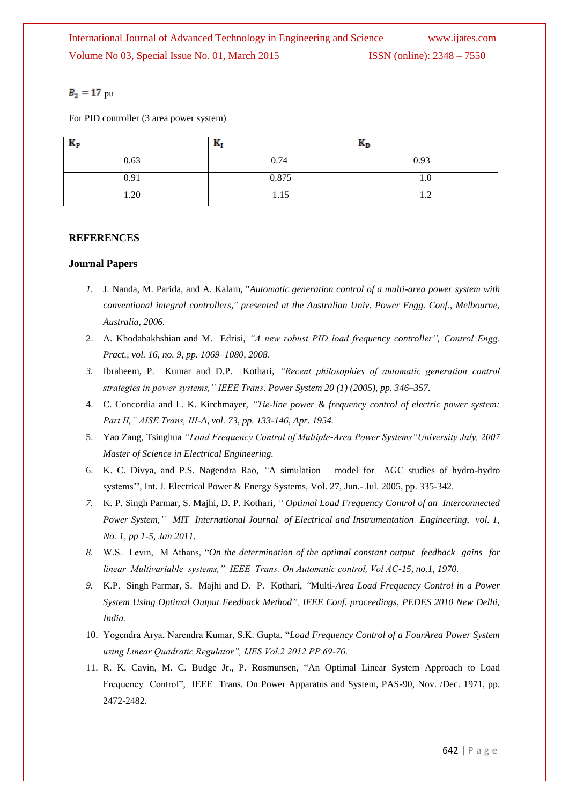# $B_2 = 17$  pu

For PID controller (3 area power system)

| $K_{\rm P}$ | вı    | $\mathbf{r}_{\mathrm{D}}$ |
|-------------|-------|---------------------------|
| 0.63        | 0.74  | 0.93                      |
| 0.91        | 0.875 | IJ.U                      |
| 1.20        | 1.15  | $\overline{1}$            |

# **REFERENCES**

# **Journal Papers**

- *1.* J. Nanda, M. Parida, and A. Kalam, "*Automatic generation control of a multi-area power system with conventional integral controllers," presented at the Australian Univ. Power Engg. Conf., Melbourne, Australia, 2006.*
- 2. A. Khodabakhshian and M. Edrisi, *"A new robust PID load frequency controller", Control Engg. Pract., vol. 16, no. 9, pp. 1069–1080, 2008*.
- *3.* Ibraheem, P. Kumar and D.P. Kothari, *"Recent philosophies of automatic generation control strategies in power systems," IEEE Trans. Power System 20 (1) (2005), pp. 346–357.*
- 4. C. Concordia and L. K. Kirchmayer, *"Tie-line power & frequency control of electric power system: Part II," AISE Trans, III-A, vol. 73, pp. 133-146, Apr. 1954.*
- 5. Yao Zang, Tsinghua *"Load Frequency Control of Multiple-Area Power Systems"University July, 2007 Master of Science in Electrical Engineering.*
- 6. K. C. Divya, and P.S. Nagendra Rao, *"*A simulation model for AGC studies of hydro-hydro systems'', Int. J. Electrical Power & Energy Systems, Vol. 27, Jun.- Jul. 2005, pp. 335-342.
- *7.* K. P. Singh Parmar, S. Majhi, D. P. Kothari*, " Optimal Load Frequency Control of an Interconnected Power System,'' MIT International Journal of Electrical and Instrumentation Engineering, vol. 1, No. 1, pp 1-5, Jan 2011.*
- *8.* W.S. Levin, M Athans, ―*On the determination of the optimal constant output feedback gains for linear Multivariable systems," IEEE Trans. On Automatic control, Vol AC-15, no.1, 1970.*
- *9.* K.P. Singh Parmar, S. Majhi and D. P. Kothari, *"*Multi*-Area Load Frequency Control in a Power System Using Optimal Output Feedback Method", IEEE Conf. proceedings, PEDES 2010 New Delhi, India.*
- 10. Yogendra Arya, Narendra Kumar, S.K. Gupta, "Load Frequency Control of a FourArea Power System *using Linear Quadratic Regulator", IJES Vol.2 2012 PP.69-76.*
- 11. R. K. Cavin, M. C. Budge Jr., P. Rosmunsen, "An Optimal Linear System Approach to Load Frequency Control", IEEE Trans. On Power Apparatus and System, PAS-90, Nov. /Dec. 1971, pp. 2472-2482.